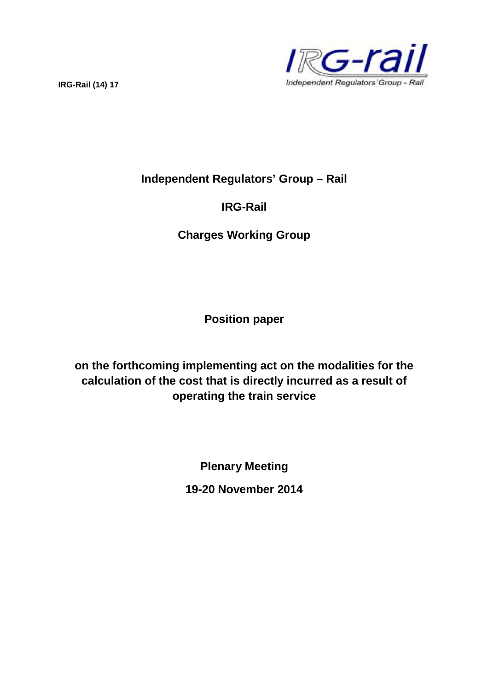

## **Independent Regulators' Group – Rail**

# **IRG-Rail**

# **Charges Working Group**

**Position paper**

**on the forthcoming implementing act on the modalities for the calculation of the cost that is directly incurred as a result of operating the train service**

**Plenary Meeting**

**19-20 November 2014**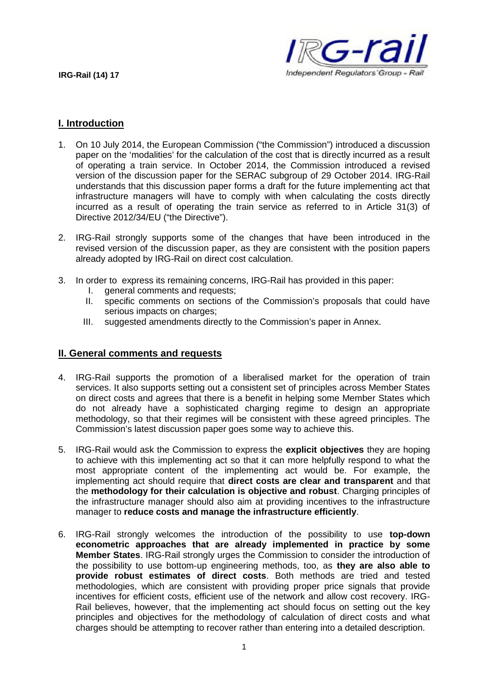

### **I. Introduction**

- 1. On 10 July 2014, the European Commission ("the Commission") introduced a discussion paper on the 'modalities' for the calculation of the cost that is directly incurred as a result of operating a train service. In October 2014, the Commission introduced a revised version of the discussion paper for the SERAC subgroup of 29 October 2014. IRG-Rail understands that this discussion paper forms a draft for the future implementing act that infrastructure managers will have to comply with when calculating the costs directly incurred as a result of operating the train service as referred to in Article 31(3) of Directive 2012/34/EU ("the Directive").
- 2. IRG-Rail strongly supports some of the changes that have been introduced in the revised version of the discussion paper, as they are consistent with the position papers already adopted by IRG-Rail on direct cost calculation.
- 3. In order to express its remaining concerns, IRG-Rail has provided in this paper:
	- I. general comments and requests;
	- II. specific comments on sections of the Commission's proposals that could have serious impacts on charges;
	- III. suggested amendments directly to the Commission's paper in Annex.

#### **II. General comments and requests**

- 4. IRG-Rail supports the promotion of a liberalised market for the operation of train services. It also supports setting out a consistent set of principles across Member States on direct costs and agrees that there is a benefit in helping some Member States which do not already have a sophisticated charging regime to design an appropriate methodology, so that their regimes will be consistent with these agreed principles. The Commission's latest discussion paper goes some way to achieve this.
- 5. IRG-Rail would ask the Commission to express the **explicit objectives** they are hoping to achieve with this implementing act so that it can more helpfully respond to what the most appropriate content of the implementing act would be. For example, the implementing act should require that **direct costs are clear and transparent** and that the **methodology for their calculation is objective and robust**. Charging principles of the infrastructure manager should also aim at providing incentives to the infrastructure manager to **reduce costs and manage the infrastructure efficiently**.
- 6. IRG-Rail strongly welcomes the introduction of the possibility to use **top-down econometric approaches that are already implemented in practice by some Member States**. IRG-Rail strongly urges the Commission to consider the introduction of the possibility to use bottom-up engineering methods, too, as **they are also able to provide robust estimates of direct costs**. Both methods are tried and tested methodologies, which are consistent with providing proper price signals that provide incentives for efficient costs, efficient use of the network and allow cost recovery. IRG-Rail believes, however, that the implementing act should focus on setting out the key principles and objectives for the methodology of calculation of direct costs and what charges should be attempting to recover rather than entering into a detailed description.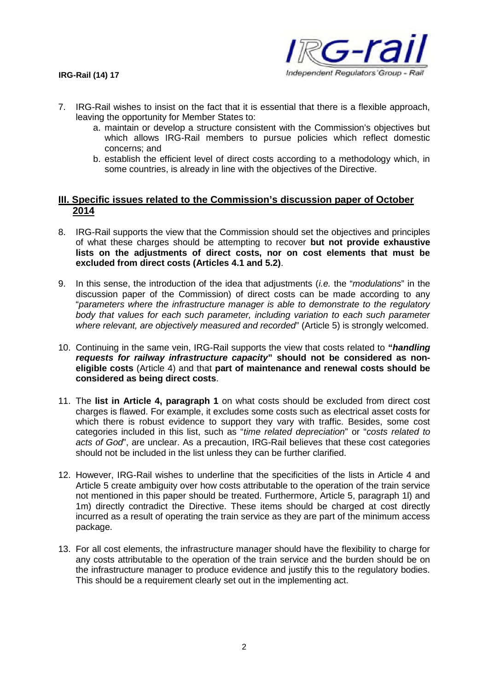

- 7. IRG-Rail wishes to insist on the fact that it is essential that there is a flexible approach, leaving the opportunity for Member States to:
	- a. maintain or develop a structure consistent with the Commission's objectives but which allows IRG-Rail members to pursue policies which reflect domestic concerns; and
	- b. establish the efficient level of direct costs according to a methodology which, in some countries, is already in line with the objectives of the Directive.

### **III. Specific issues related to the Commission's discussion paper of October 2014**

- 8. IRG-Rail supports the view that the Commission should set the objectives and principles of what these charges should be attempting to recover **but not provide exhaustive lists on the adjustments of direct costs, nor on cost elements that must be excluded from direct costs (Articles 4.1 and 5.2)**.
- 9. In this sense, the introduction of the idea that adjustments (*i.e.* the "*modulations*" in the discussion paper of the Commission) of direct costs can be made according to any "*parameters where the infrastructure manager is able to demonstrate to the regulatory body that values for each such parameter, including variation to each such parameter where relevant, are objectively measured and recorded*" (Article 5) is strongly welcomed.
- 10. Continuing in the same vein, IRG-Rail supports the view that costs related to **"***handling requests for railway infrastructure capacity***" should not be considered as noneligible costs** (Article 4) and that **part of maintenance and renewal costs should be considered as being direct costs**.
- 11. The **list in Article 4, paragraph 1** on what costs should be excluded from direct cost charges is flawed. For example, it excludes some costs such as electrical asset costs for which there is robust evidence to support they vary with traffic. Besides, some cost categories included in this list, such as "*time related depreciation*" or "*costs related to acts of God*", are unclear. As a precaution, IRG-Rail believes that these cost categories should not be included in the list unless they can be further clarified.
- 12. However, IRG-Rail wishes to underline that the specificities of the lists in Article 4 and Article 5 create ambiguity over how costs attributable to the operation of the train service not mentioned in this paper should be treated. Furthermore, Article 5, paragraph 1l) and 1m) directly contradict the Directive. These items should be charged at cost directly incurred as a result of operating the train service as they are part of the minimum access package.
- 13. For all cost elements, the infrastructure manager should have the flexibility to charge for any costs attributable to the operation of the train service and the burden should be on the infrastructure manager to produce evidence and justify this to the regulatory bodies. This should be a requirement clearly set out in the implementing act.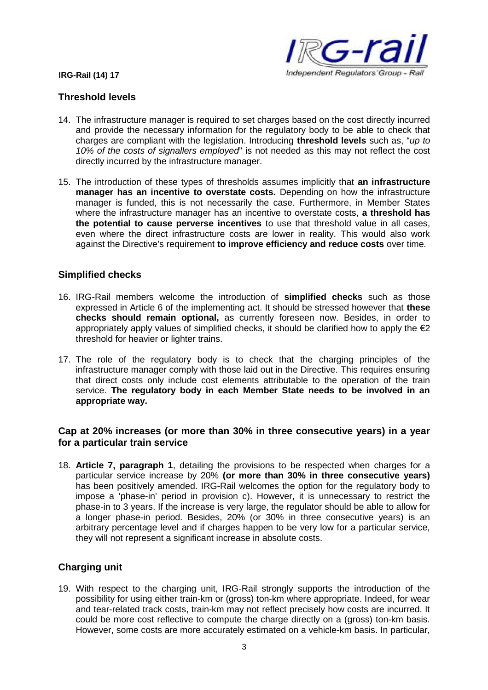

### **Threshold levels**

- 14. The infrastructure manager is required to set charges based on the cost directly incurred and provide the necessary information for the regulatory body to be able to check that charges are compliant with the legislation. Introducing **threshold levels** such as, "*up to 10% of the costs of signallers employed*" is not needed as this may not reflect the cost directly incurred by the infrastructure manager.
- 15. The introduction of these types of thresholds assumes implicitly that **an infrastructure manager has an incentive to overstate costs.** Depending on how the infrastructure manager is funded, this is not necessarily the case. Furthermore, in Member States where the infrastructure manager has an incentive to overstate costs, **a threshold has the potential to cause perverse incentives** to use that threshold value in all cases, even where the direct infrastructure costs are lower in reality. This would also work against the Directive's requirement **to improve efficiency and reduce costs** over time.

### **Simplified checks**

- 16. IRG-Rail members welcome the introduction of **simplified checks** such as those expressed in Article 6 of the implementing act. It should be stressed however that **these checks should remain optional,** as currently foreseen now. Besides, in order to appropriately apply values of simplified checks, it should be clarified how to apply the  $\epsilon$ 2 threshold for heavier or lighter trains.
- 17. The role of the regulatory body is to check that the charging principles of the infrastructure manager comply with those laid out in the Directive. This requires ensuring that direct costs only include cost elements attributable to the operation of the train service. **The regulatory body in each Member State needs to be involved in an appropriate way.**

### **Cap at 20% increases (or more than 30% in three consecutive years) in a year for a particular train service**

18. **Article 7, paragraph 1**, detailing the provisions to be respected when charges for a particular service increase by 20% **(or more than 30% in three consecutive years)** has been positively amended. IRG-Rail welcomes the option for the regulatory body to impose a 'phase-in' period in provision c). However, it is unnecessary to restrict the phase-in to 3 years. If the increase is very large, the regulator should be able to allow for a longer phase-in period. Besides, 20% (or 30% in three consecutive years) is an arbitrary percentage level and if charges happen to be very low for a particular service, they will not represent a significant increase in absolute costs.

## **Charging unit**

19. With respect to the charging unit, IRG-Rail strongly supports the introduction of the possibility for using either train-km or (gross) ton-km where appropriate. Indeed, for wear and tear-related track costs, train-km may not reflect precisely how costs are incurred. It could be more cost reflective to compute the charge directly on a (gross) ton-km basis. However, some costs are more accurately estimated on a vehicle-km basis. In particular,